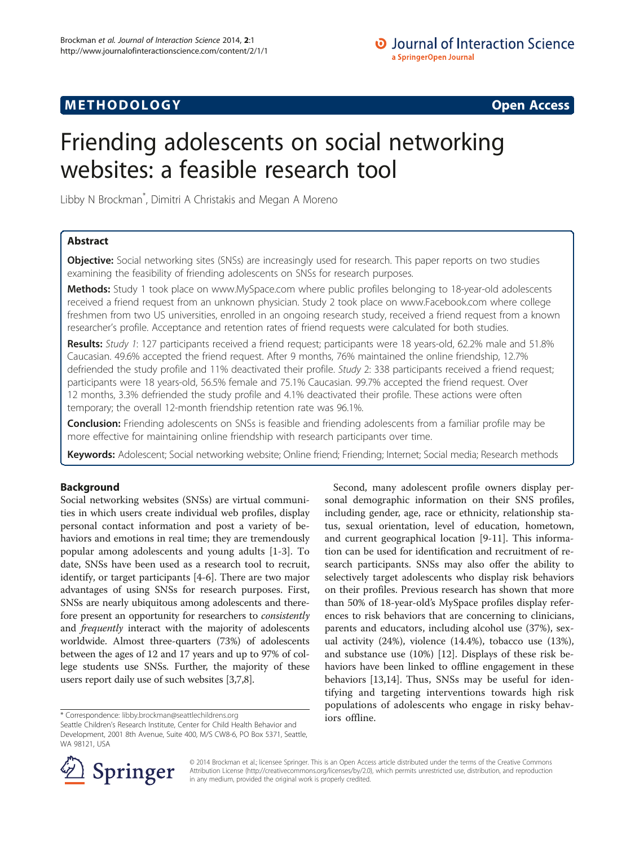# **METHODOLOGY CONSUMING ACCESS**

# Friending adolescents on social networking websites: a feasible research tool

Libby N Brockman\* , Dimitri A Christakis and Megan A Moreno

# Abstract

Objective: Social networking sites (SNSs) are increasingly used for research. This paper reports on two studies examining the feasibility of friending adolescents on SNSs for research purposes.

Methods: Study 1 took place on [www.MySpace.com](http://www.myspace.com) where public profiles belonging to 18-year-old adolescents received a friend request from an unknown physician. Study 2 took place on [www.Facebook.com](http://www.facebook.com) where college freshmen from two US universities, enrolled in an ongoing research study, received a friend request from a known researcher's profile. Acceptance and retention rates of friend requests were calculated for both studies.

Results: Study 1: 127 participants received a friend request; participants were 18 years-old, 62.2% male and 51.8% Caucasian. 49.6% accepted the friend request. After 9 months, 76% maintained the online friendship, 12.7% defriended the study profile and 11% deactivated their profile. Study 2: 338 participants received a friend request; participants were 18 years-old, 56.5% female and 75.1% Caucasian. 99.7% accepted the friend request. Over 12 months, 3.3% defriended the study profile and 4.1% deactivated their profile. These actions were often temporary; the overall 12-month friendship retention rate was 96.1%.

**Conclusion:** Friending adolescents on SNSs is feasible and friending adolescents from a familiar profile may be more effective for maintaining online friendship with research participants over time.

Keywords: Adolescent; Social networking website; Online friend; Friending; Internet; Social media; Research methods

### Background

Social networking websites (SNSs) are virtual communities in which users create individual web profiles, display personal contact information and post a variety of behaviors and emotions in real time; they are tremendously popular among adolescents and young adults [[1-3](#page-7-0)]. To date, SNSs have been used as a research tool to recruit, identify, or target participants [[4-6\]](#page-7-0). There are two major advantages of using SNSs for research purposes. First, SNSs are nearly ubiquitous among adolescents and therefore present an opportunity for researchers to consistently and frequently interact with the majority of adolescents worldwide. Almost three-quarters (73%) of adolescents between the ages of 12 and 17 years and up to 97% of college students use SNSs. Further, the majority of these users report daily use of such websites [\[3,7,8\]](#page-7-0).

iors offline. \* Correspondence: [libby.brockman@seattlechildrens.org](mailto:libby.brockman@seattlechildrens.org)

Second, many adolescent profile owners display personal demographic information on their SNS profiles, including gender, age, race or ethnicity, relationship status, sexual orientation, level of education, hometown, and current geographical location [\[9-11](#page-7-0)]. This information can be used for identification and recruitment of research participants. SNSs may also offer the ability to selectively target adolescents who display risk behaviors on their profiles. Previous research has shown that more than 50% of 18-year-old's MySpace profiles display references to risk behaviors that are concerning to clinicians, parents and educators, including alcohol use (37%), sexual activity (24%), violence (14.4%), tobacco use (13%), and substance use (10%) [\[12\]](#page-7-0). Displays of these risk behaviors have been linked to offline engagement in these behaviors [\[13,14\]](#page-7-0). Thus, SNSs may be useful for identifying and targeting interventions towards high risk populations of adolescents who engage in risky behav-



© 2014 Brockman et al.; licensee Springer. This is an Open Access article distributed under the terms of the Creative Commons Attribution License [\(http://creativecommons.org/licenses/by/2.0\)](http://creativecommons.org/licenses/by/2.0), which permits unrestricted use, distribution, and reproduction in any medium, provided the original work is properly credited.

Seattle Children's Research Institute, Center for Child Health Behavior and Development, 2001 8th Avenue, Suite 400, M/S CW8-6, PO Box 5371, Seattle, WA 98121, USA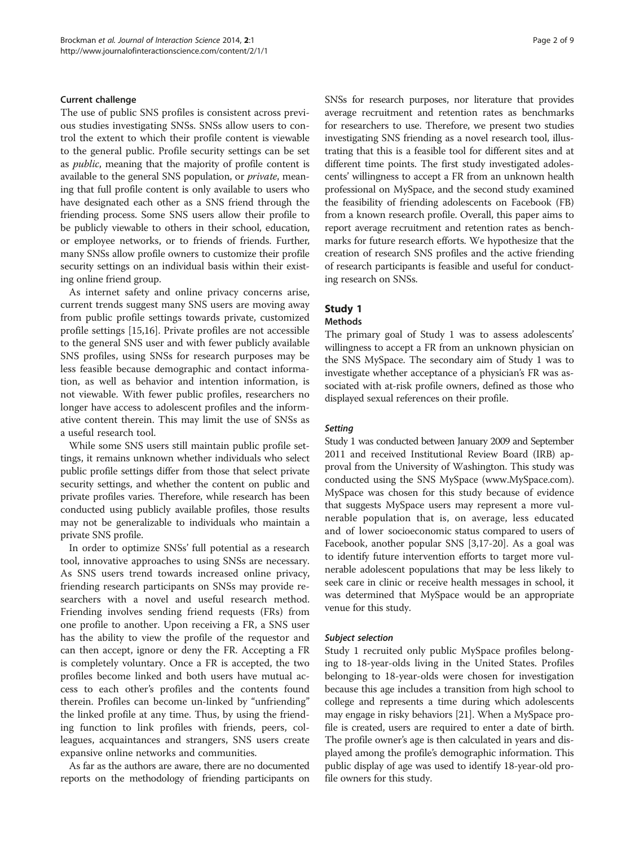### Current challenge

The use of public SNS profiles is consistent across previous studies investigating SNSs. SNSs allow users to control the extent to which their profile content is viewable to the general public. Profile security settings can be set as public, meaning that the majority of profile content is available to the general SNS population, or private, meaning that full profile content is only available to users who have designated each other as a SNS friend through the friending process. Some SNS users allow their profile to be publicly viewable to others in their school, education, or employee networks, or to friends of friends. Further, many SNSs allow profile owners to customize their profile security settings on an individual basis within their existing online friend group.

As internet safety and online privacy concerns arise, current trends suggest many SNS users are moving away from public profile settings towards private, customized profile settings [\[15,16](#page-7-0)]. Private profiles are not accessible to the general SNS user and with fewer publicly available SNS profiles, using SNSs for research purposes may be less feasible because demographic and contact information, as well as behavior and intention information, is not viewable. With fewer public profiles, researchers no longer have access to adolescent profiles and the informative content therein. This may limit the use of SNSs as a useful research tool.

While some SNS users still maintain public profile settings, it remains unknown whether individuals who select public profile settings differ from those that select private security settings, and whether the content on public and private profiles varies. Therefore, while research has been conducted using publicly available profiles, those results may not be generalizable to individuals who maintain a private SNS profile.

In order to optimize SNSs' full potential as a research tool, innovative approaches to using SNSs are necessary. As SNS users trend towards increased online privacy, friending research participants on SNSs may provide researchers with a novel and useful research method. Friending involves sending friend requests (FRs) from one profile to another. Upon receiving a FR, a SNS user has the ability to view the profile of the requestor and can then accept, ignore or deny the FR. Accepting a FR is completely voluntary. Once a FR is accepted, the two profiles become linked and both users have mutual access to each other's profiles and the contents found therein. Profiles can become un-linked by "unfriending" the linked profile at any time. Thus, by using the friending function to link profiles with friends, peers, colleagues, acquaintances and strangers, SNS users create expansive online networks and communities.

As far as the authors are aware, there are no documented reports on the methodology of friending participants on SNSs for research purposes, nor literature that provides average recruitment and retention rates as benchmarks for researchers to use. Therefore, we present two studies investigating SNS friending as a novel research tool, illustrating that this is a feasible tool for different sites and at different time points. The first study investigated adolescents' willingness to accept a FR from an unknown health professional on MySpace, and the second study examined the feasibility of friending adolescents on Facebook (FB) from a known research profile. Overall, this paper aims to report average recruitment and retention rates as benchmarks for future research efforts. We hypothesize that the creation of research SNS profiles and the active friending of research participants is feasible and useful for conducting research on SNSs.

### Study 1

### Methods

The primary goal of Study 1 was to assess adolescents' willingness to accept a FR from an unknown physician on the SNS MySpace. The secondary aim of Study 1 was to investigate whether acceptance of a physician's FR was associated with at-risk profile owners, defined as those who displayed sexual references on their profile.

### **Setting**

Study 1 was conducted between January 2009 and September 2011 and received Institutional Review Board (IRB) approval from the University of Washington. This study was conducted using the SNS MySpace [\(www.MySpace.com](http://www.MySpace.com)). MySpace was chosen for this study because of evidence that suggests MySpace users may represent a more vulnerable population that is, on average, less educated and of lower socioeconomic status compared to users of Facebook, another popular SNS [\[3,17-20\]](#page-7-0). As a goal was to identify future intervention efforts to target more vulnerable adolescent populations that may be less likely to seek care in clinic or receive health messages in school, it was determined that MySpace would be an appropriate venue for this study.

#### Subject selection

Study 1 recruited only public MySpace profiles belonging to 18-year-olds living in the United States. Profiles belonging to 18-year-olds were chosen for investigation because this age includes a transition from high school to college and represents a time during which adolescents may engage in risky behaviors [\[21\]](#page-7-0). When a MySpace profile is created, users are required to enter a date of birth. The profile owner's age is then calculated in years and displayed among the profile's demographic information. This public display of age was used to identify 18-year-old profile owners for this study.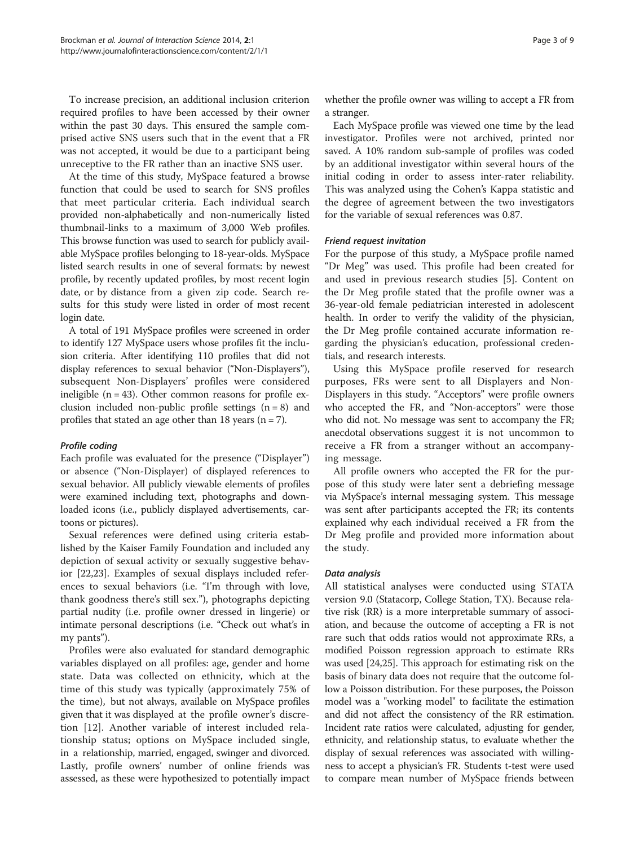To increase precision, an additional inclusion criterion required profiles to have been accessed by their owner within the past 30 days. This ensured the sample comprised active SNS users such that in the event that a FR was not accepted, it would be due to a participant being unreceptive to the FR rather than an inactive SNS user.

At the time of this study, MySpace featured a browse function that could be used to search for SNS profiles that meet particular criteria. Each individual search provided non-alphabetically and non-numerically listed thumbnail-links to a maximum of 3,000 Web profiles. This browse function was used to search for publicly available MySpace profiles belonging to 18-year-olds. MySpace listed search results in one of several formats: by newest profile, by recently updated profiles, by most recent login date, or by distance from a given zip code. Search results for this study were listed in order of most recent login date.

A total of 191 MySpace profiles were screened in order to identify 127 MySpace users whose profiles fit the inclusion criteria. After identifying 110 profiles that did not display references to sexual behavior ("Non-Displayers"), subsequent Non-Displayers' profiles were considered ineligible  $(n = 43)$ . Other common reasons for profile exclusion included non-public profile settings  $(n = 8)$  and profiles that stated an age other than 18 years  $(n = 7)$ .

### Profile coding

Each profile was evaluated for the presence ("Displayer") or absence ("Non-Displayer) of displayed references to sexual behavior. All publicly viewable elements of profiles were examined including text, photographs and downloaded icons (i.e., publicly displayed advertisements, cartoons or pictures).

Sexual references were defined using criteria established by the Kaiser Family Foundation and included any depiction of sexual activity or sexually suggestive behavior [[22](#page-7-0),[23](#page-7-0)]. Examples of sexual displays included references to sexual behaviors (i.e. "I'm through with love, thank goodness there's still sex."), photographs depicting partial nudity (i.e. profile owner dressed in lingerie) or intimate personal descriptions (i.e. "Check out what's in my pants").

Profiles were also evaluated for standard demographic variables displayed on all profiles: age, gender and home state. Data was collected on ethnicity, which at the time of this study was typically (approximately 75% of the time), but not always, available on MySpace profiles given that it was displayed at the profile owner's discretion [[12\]](#page-7-0). Another variable of interest included relationship status; options on MySpace included single, in a relationship, married, engaged, swinger and divorced. Lastly, profile owners' number of online friends was assessed, as these were hypothesized to potentially impact whether the profile owner was willing to accept a FR from a stranger.

Each MySpace profile was viewed one time by the lead investigator. Profiles were not archived, printed nor saved. A 10% random sub-sample of profiles was coded by an additional investigator within several hours of the initial coding in order to assess inter-rater reliability. This was analyzed using the Cohen's Kappa statistic and the degree of agreement between the two investigators for the variable of sexual references was 0.87.

### Friend request invitation

For the purpose of this study, a MySpace profile named "Dr Meg" was used. This profile had been created for and used in previous research studies [[5\]](#page-7-0). Content on the Dr Meg profile stated that the profile owner was a 36-year-old female pediatrician interested in adolescent health. In order to verify the validity of the physician, the Dr Meg profile contained accurate information regarding the physician's education, professional credentials, and research interests.

Using this MySpace profile reserved for research purposes, FRs were sent to all Displayers and Non-Displayers in this study. "Acceptors" were profile owners who accepted the FR, and "Non-acceptors" were those who did not. No message was sent to accompany the FR; anecdotal observations suggest it is not uncommon to receive a FR from a stranger without an accompanying message.

All profile owners who accepted the FR for the purpose of this study were later sent a debriefing message via MySpace's internal messaging system. This message was sent after participants accepted the FR; its contents explained why each individual received a FR from the Dr Meg profile and provided more information about the study.

### Data analysis

All statistical analyses were conducted using STATA version 9.0 (Statacorp, College Station, TX). Because relative risk (RR) is a more interpretable summary of association, and because the outcome of accepting a FR is not rare such that odds ratios would not approximate RRs, a modified Poisson regression approach to estimate RRs was used [[24,25](#page-7-0)]. This approach for estimating risk on the basis of binary data does not require that the outcome follow a Poisson distribution. For these purposes, the Poisson model was a "working model" to facilitate the estimation and did not affect the consistency of the RR estimation. Incident rate ratios were calculated, adjusting for gender, ethnicity, and relationship status, to evaluate whether the display of sexual references was associated with willingness to accept a physician's FR. Students t-test were used to compare mean number of MySpace friends between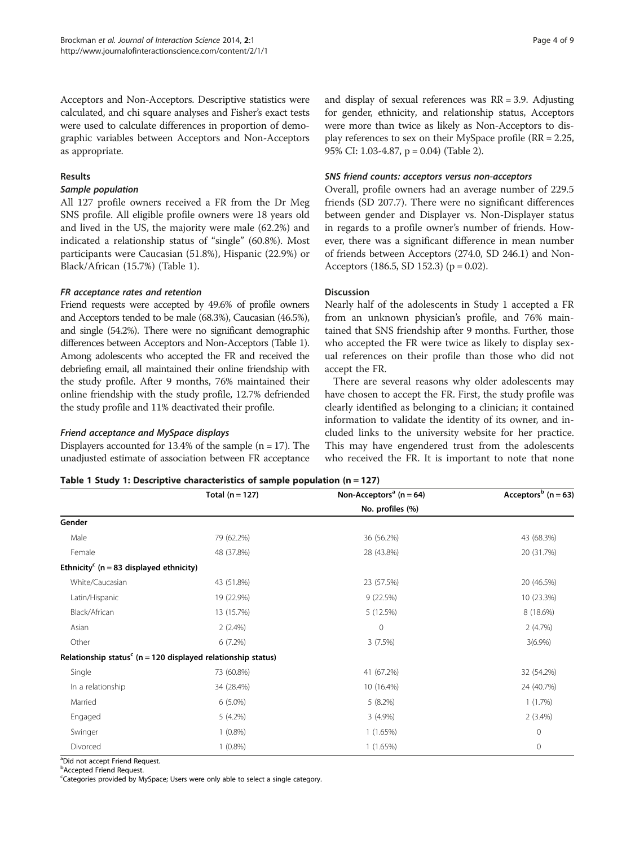Acceptors and Non-Acceptors. Descriptive statistics were calculated, and chi square analyses and Fisher's exact tests were used to calculate differences in proportion of demographic variables between Acceptors and Non-Acceptors as appropriate.

### Results

### Sample population

All 127 profile owners received a FR from the Dr Meg SNS profile. All eligible profile owners were 18 years old and lived in the US, the majority were male (62.2%) and indicated a relationship status of "single" (60.8%). Most participants were Caucasian (51.8%), Hispanic (22.9%) or Black/African (15.7%) (Table 1).

### FR acceptance rates and retention

Friend requests were accepted by 49.6% of profile owners and Acceptors tended to be male (68.3%), Caucasian (46.5%), and single (54.2%). There were no significant demographic differences between Acceptors and Non-Acceptors (Table 1). Among adolescents who accepted the FR and received the debriefing email, all maintained their online friendship with the study profile. After 9 months, 76% maintained their online friendship with the study profile, 12.7% defriended the study profile and 11% deactivated their profile.

### Friend acceptance and MySpace displays

Displayers accounted for  $13.4\%$  of the sample (n = 17). The unadjusted estimate of association between FR acceptance

### and display of sexual references was  $RR = 3.9$ . Adjusting for gender, ethnicity, and relationship status, Acceptors were more than twice as likely as Non-Acceptors to display references to sex on their MySpace profile (RR = 2.25, 95% CI: 1.03-4.87, p = 0.04) (Table [2\)](#page-4-0).

### SNS friend counts: acceptors versus non-acceptors

Overall, profile owners had an average number of 229.5 friends (SD 207.7). There were no significant differences between gender and Displayer vs. Non-Displayer status in regards to a profile owner's number of friends. However, there was a significant difference in mean number of friends between Acceptors (274.0, SD 246.1) and Non-Acceptors (186.5, SD 152.3) ( $p = 0.02$ ).

### Discussion

Nearly half of the adolescents in Study 1 accepted a FR from an unknown physician's profile, and 76% maintained that SNS friendship after 9 months. Further, those who accepted the FR were twice as likely to display sexual references on their profile than those who did not accept the FR.

There are several reasons why older adolescents may have chosen to accept the FR. First, the study profile was clearly identified as belonging to a clinician; it contained information to validate the identity of its owner, and included links to the university website for her practice. This may have engendered trust from the adolescents who received the FR. It is important to note that none

| Table 1 Study 1: Descriptive characteristics of sample population $(n = 127)$ |  |  |
|-------------------------------------------------------------------------------|--|--|
|-------------------------------------------------------------------------------|--|--|

|                                                        | Total $(n = 127)$                                                           | Non-Acceptors <sup>a</sup> ( $n = 64$ ) | Acceptors <sup>b</sup> (n = 63) |  |
|--------------------------------------------------------|-----------------------------------------------------------------------------|-----------------------------------------|---------------------------------|--|
|                                                        | No. profiles (%)                                                            |                                         |                                 |  |
| Gender                                                 |                                                                             |                                         |                                 |  |
| Male                                                   | 79 (62.2%)                                                                  | 36 (56.2%)                              | 43 (68.3%)                      |  |
| Female                                                 | 48 (37.8%)                                                                  | 28 (43.8%)                              | 20 (31.7%)                      |  |
| Ethnicity <sup>c</sup> ( $n = 83$ displayed ethnicity) |                                                                             |                                         |                                 |  |
| White/Caucasian                                        | 43 (51.8%)                                                                  | 23 (57.5%)                              | 20 (46.5%)                      |  |
| Latin/Hispanic                                         | 19 (22.9%)                                                                  | 9(22.5%)                                | 10 (23.3%)                      |  |
| Black/African                                          | 13 (15.7%)                                                                  | 5 (12.5%)                               | 8 (18.6%)                       |  |
| Asian                                                  | $2(2.4\%)$                                                                  | $\mathbf 0$                             | 2(4.7%)                         |  |
| Other                                                  | 6(7.2%)                                                                     | 3(7.5%)                                 | $3(6.9\%)$                      |  |
|                                                        | Relationship status <sup>c</sup> ( $n = 120$ displayed relationship status) |                                         |                                 |  |
| Single                                                 | 73 (60.8%)                                                                  | 41 (67.2%)                              | 32 (54.2%)                      |  |
| In a relationship                                      | 34 (28.4%)                                                                  | 10 (16.4%)                              | 24 (40.7%)                      |  |
| Married                                                | $6(5.0\%)$                                                                  | $5(8.2\%)$                              | 1(1.7%)                         |  |
| Engaged                                                | $5(4.2\%)$                                                                  | $3(4.9\%)$                              | $2(3.4\%)$                      |  |
| Swinger                                                | $1(0.8\%)$                                                                  | 1(1.65%)                                | 0                               |  |
| Divorced                                               | $1(0.8\%)$                                                                  | 1(1.65%)                                | 0                               |  |

a Did not accept Friend Request.

**b** Accepted Friend Request.

<sup>c</sup>Categories provided by MySpace; Users were only able to select a single category.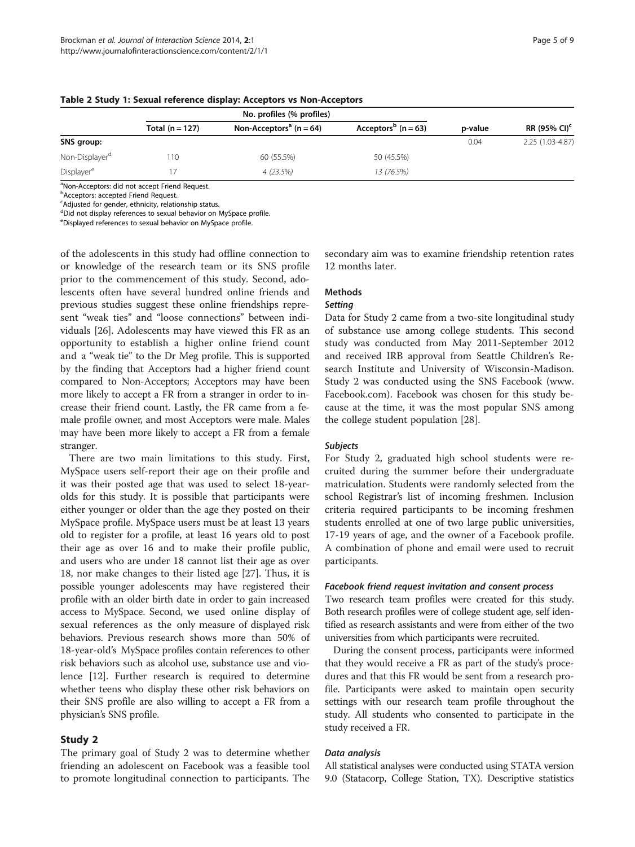|                            | No. profiles (% profiles) |                                         |                                     |         |                          |
|----------------------------|---------------------------|-----------------------------------------|-------------------------------------|---------|--------------------------|
|                            | Total $(n = 127)$         | Non-Acceptors <sup>a</sup> ( $n = 64$ ) | Acceptors <sup>p</sup> ( $n = 63$ ) | p-value | RR (95% CI) <sup>c</sup> |
| SNS group:                 |                           |                                         |                                     | 0.04    | 2.25 (1.03-4.87)         |
| Non-Displayer <sup>d</sup> | 110                       | 60 (55.5%)                              | 50 (45.5%)                          |         |                          |
| Displayer <sup>e</sup>     |                           | 4(23.5%)                                | 13 (76.5%)                          |         |                          |

### <span id="page-4-0"></span>Table 2 Study 1: Sexual reference display: Acceptors vs Non-Acceptors

<sup>a</sup>Non-Acceptors: did not accept Friend Request.

**b**Acceptors: accepted Friend Request.

<sup>c</sup>Adjusted for gender, ethnicity, relationship status.

dDid not display references to sexual behavior on MySpace profile.

e Displayed references to sexual behavior on MySpace profile.

of the adolescents in this study had offline connection to or knowledge of the research team or its SNS profile prior to the commencement of this study. Second, adolescents often have several hundred online friends and previous studies suggest these online friendships represent "weak ties" and "loose connections" between individuals [[26](#page-7-0)]. Adolescents may have viewed this FR as an opportunity to establish a higher online friend count and a "weak tie" to the Dr Meg profile. This is supported by the finding that Acceptors had a higher friend count compared to Non-Acceptors; Acceptors may have been more likely to accept a FR from a stranger in order to increase their friend count. Lastly, the FR came from a female profile owner, and most Acceptors were male. Males may have been more likely to accept a FR from a female stranger.

There are two main limitations to this study. First, MySpace users self-report their age on their profile and it was their posted age that was used to select 18-yearolds for this study. It is possible that participants were either younger or older than the age they posted on their MySpace profile. MySpace users must be at least 13 years old to register for a profile, at least 16 years old to post their age as over 16 and to make their profile public, and users who are under 18 cannot list their age as over 18, nor make changes to their listed age [[27\]](#page-7-0). Thus, it is possible younger adolescents may have registered their profile with an older birth date in order to gain increased access to MySpace. Second, we used online display of sexual references as the only measure of displayed risk behaviors. Previous research shows more than 50% of 18-year-old's MySpace profiles contain references to other risk behaviors such as alcohol use, substance use and violence [[12](#page-7-0)]. Further research is required to determine whether teens who display these other risk behaviors on their SNS profile are also willing to accept a FR from a physician's SNS profile.

### Study 2

The primary goal of Study 2 was to determine whether friending an adolescent on Facebook was a feasible tool to promote longitudinal connection to participants. The secondary aim was to examine friendship retention rates 12 months later.

# Methods

# Setting

Data for Study 2 came from a two-site longitudinal study of substance use among college students. This second study was conducted from May 2011-September 2012 and received IRB approval from Seattle Children's Research Institute and University of Wisconsin-Madison. Study 2 was conducted using the SNS Facebook ([www.](http://www.Facebook.com) [Facebook.com\)](http://www.Facebook.com). Facebook was chosen for this study because at the time, it was the most popular SNS among the college student population [\[28](#page-7-0)].

### Subjects

For Study 2, graduated high school students were recruited during the summer before their undergraduate matriculation. Students were randomly selected from the school Registrar's list of incoming freshmen. Inclusion criteria required participants to be incoming freshmen students enrolled at one of two large public universities, 17-19 years of age, and the owner of a Facebook profile. A combination of phone and email were used to recruit participants.

### Facebook friend request invitation and consent process

Two research team profiles were created for this study. Both research profiles were of college student age, self identified as research assistants and were from either of the two universities from which participants were recruited.

During the consent process, participants were informed that they would receive a FR as part of the study's procedures and that this FR would be sent from a research profile. Participants were asked to maintain open security settings with our research team profile throughout the study. All students who consented to participate in the study received a FR.

### Data analysis

All statistical analyses were conducted using STATA version 9.0 (Statacorp, College Station, TX). Descriptive statistics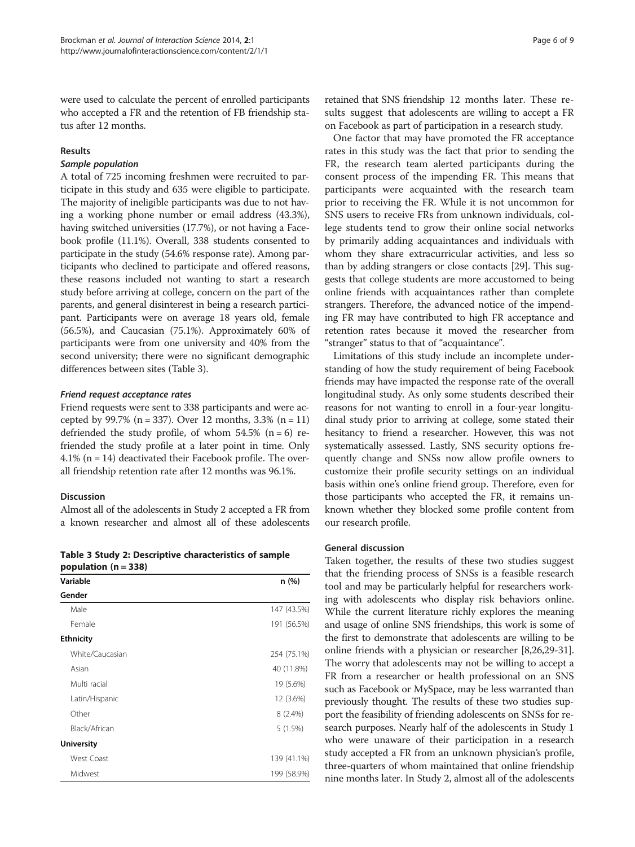were used to calculate the percent of enrolled participants who accepted a FR and the retention of FB friendship status after 12 months.

### Results

### Sample population

A total of 725 incoming freshmen were recruited to participate in this study and 635 were eligible to participate. The majority of ineligible participants was due to not having a working phone number or email address (43.3%), having switched universities (17.7%), or not having a Facebook profile (11.1%). Overall, 338 students consented to participate in the study (54.6% response rate). Among participants who declined to participate and offered reasons, these reasons included not wanting to start a research study before arriving at college, concern on the part of the parents, and general disinterest in being a research participant. Participants were on average 18 years old, female (56.5%), and Caucasian (75.1%). Approximately 60% of participants were from one university and 40% from the second university; there were no significant demographic differences between sites (Table 3).

### Friend request acceptance rates

Friend requests were sent to 338 participants and were accepted by 99.7% ( $n = 337$ ). Over 12 months, 3.3% ( $n = 11$ ) defriended the study profile, of whom  $54.5\%$  (n = 6) refriended the study profile at a later point in time. Only 4.1% (n = 14) deactivated their Facebook profile. The overall friendship retention rate after 12 months was 96.1%.

### Discussion

Almost all of the adolescents in Study 2 accepted a FR from a known researcher and almost all of these adolescents

Table 3 Study 2: Descriptive characteristics of sample population  $(n = 338)$ 

| Variable          | n (%)       |
|-------------------|-------------|
| Gender            |             |
| Male              | 147 (43.5%) |
| Female            | 191 (56.5%) |
| <b>Ethnicity</b>  |             |
| White/Caucasian   | 254 (75.1%) |
| Asian             | 40 (11.8%)  |
| Multi racial      | 19 (5.6%)   |
| Latin/Hispanic    | 12 (3.6%)   |
| Other             | $8(2.4\%)$  |
| Black/African     | 5(1.5%)     |
| <b>University</b> |             |
| <b>West Coast</b> | 139 (41.1%) |
| Midwest           | 199 (58.9%) |

retained that SNS friendship 12 months later. These results suggest that adolescents are willing to accept a FR on Facebook as part of participation in a research study.

One factor that may have promoted the FR acceptance rates in this study was the fact that prior to sending the FR, the research team alerted participants during the consent process of the impending FR. This means that participants were acquainted with the research team prior to receiving the FR. While it is not uncommon for SNS users to receive FRs from unknown individuals, college students tend to grow their online social networks by primarily adding acquaintances and individuals with whom they share extracurricular activities, and less so than by adding strangers or close contacts [[29](#page-7-0)]. This suggests that college students are more accustomed to being online friends with acquaintances rather than complete strangers. Therefore, the advanced notice of the impending FR may have contributed to high FR acceptance and retention rates because it moved the researcher from "stranger" status to that of "acquaintance".

Limitations of this study include an incomplete understanding of how the study requirement of being Facebook friends may have impacted the response rate of the overall longitudinal study. As only some students described their reasons for not wanting to enroll in a four-year longitudinal study prior to arriving at college, some stated their hesitancy to friend a researcher. However, this was not systematically assessed. Lastly, SNS security options frequently change and SNSs now allow profile owners to customize their profile security settings on an individual basis within one's online friend group. Therefore, even for those participants who accepted the FR, it remains unknown whether they blocked some profile content from our research profile.

### General discussion

Taken together, the results of these two studies suggest that the friending process of SNSs is a feasible research tool and may be particularly helpful for researchers working with adolescents who display risk behaviors online. While the current literature richly explores the meaning and usage of online SNS friendships, this work is some of the first to demonstrate that adolescents are willing to be online friends with a physician or researcher [\[8,26,29](#page-7-0)-[31](#page-8-0)]. The worry that adolescents may not be willing to accept a FR from a researcher or health professional on an SNS such as Facebook or MySpace, may be less warranted than previously thought. The results of these two studies support the feasibility of friending adolescents on SNSs for research purposes. Nearly half of the adolescents in Study 1 who were unaware of their participation in a research study accepted a FR from an unknown physician's profile, three-quarters of whom maintained that online friendship nine months later. In Study 2, almost all of the adolescents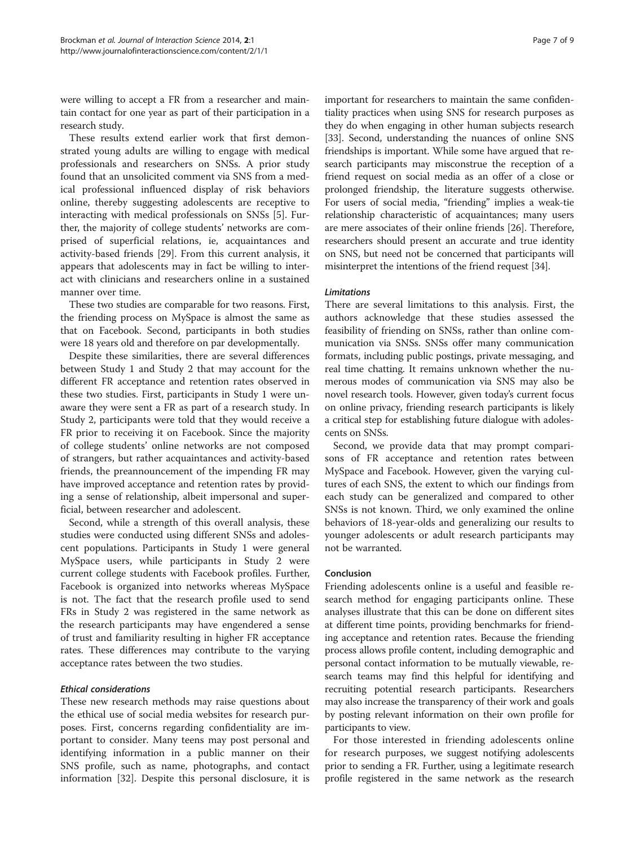were willing to accept a FR from a researcher and maintain contact for one year as part of their participation in a research study.

These results extend earlier work that first demonstrated young adults are willing to engage with medical professionals and researchers on SNSs. A prior study found that an unsolicited comment via SNS from a medical professional influenced display of risk behaviors online, thereby suggesting adolescents are receptive to interacting with medical professionals on SNSs [\[5](#page-7-0)]. Further, the majority of college students' networks are comprised of superficial relations, ie, acquaintances and activity-based friends [[29\]](#page-7-0). From this current analysis, it appears that adolescents may in fact be willing to interact with clinicians and researchers online in a sustained manner over time.

These two studies are comparable for two reasons. First, the friending process on MySpace is almost the same as that on Facebook. Second, participants in both studies were 18 years old and therefore on par developmentally.

Despite these similarities, there are several differences between Study 1 and Study 2 that may account for the different FR acceptance and retention rates observed in these two studies. First, participants in Study 1 were unaware they were sent a FR as part of a research study. In Study 2, participants were told that they would receive a FR prior to receiving it on Facebook. Since the majority of college students' online networks are not composed of strangers, but rather acquaintances and activity-based friends, the preannouncement of the impending FR may have improved acceptance and retention rates by providing a sense of relationship, albeit impersonal and superficial, between researcher and adolescent.

Second, while a strength of this overall analysis, these studies were conducted using different SNSs and adolescent populations. Participants in Study 1 were general MySpace users, while participants in Study 2 were current college students with Facebook profiles. Further, Facebook is organized into networks whereas MySpace is not. The fact that the research profile used to send FRs in Study 2 was registered in the same network as the research participants may have engendered a sense of trust and familiarity resulting in higher FR acceptance rates. These differences may contribute to the varying acceptance rates between the two studies.

### Ethical considerations

These new research methods may raise questions about the ethical use of social media websites for research purposes. First, concerns regarding confidentiality are important to consider. Many teens may post personal and identifying information in a public manner on their SNS profile, such as name, photographs, and contact information [[32\]](#page-8-0). Despite this personal disclosure, it is

important for researchers to maintain the same confidentiality practices when using SNS for research purposes as they do when engaging in other human subjects research [[33](#page-8-0)]. Second, understanding the nuances of online SNS friendships is important. While some have argued that research participants may misconstrue the reception of a friend request on social media as an offer of a close or prolonged friendship, the literature suggests otherwise. For users of social media, "friending" implies a weak-tie relationship characteristic of acquaintances; many users are mere associates of their online friends [\[26\]](#page-7-0). Therefore, researchers should present an accurate and true identity on SNS, but need not be concerned that participants will misinterpret the intentions of the friend request [[34](#page-8-0)].

### Limitations

There are several limitations to this analysis. First, the authors acknowledge that these studies assessed the feasibility of friending on SNSs, rather than online communication via SNSs. SNSs offer many communication formats, including public postings, private messaging, and real time chatting. It remains unknown whether the numerous modes of communication via SNS may also be novel research tools. However, given today's current focus on online privacy, friending research participants is likely a critical step for establishing future dialogue with adolescents on SNSs.

Second, we provide data that may prompt comparisons of FR acceptance and retention rates between MySpace and Facebook. However, given the varying cultures of each SNS, the extent to which our findings from each study can be generalized and compared to other SNSs is not known. Third, we only examined the online behaviors of 18-year-olds and generalizing our results to younger adolescents or adult research participants may not be warranted.

### Conclusion

Friending adolescents online is a useful and feasible research method for engaging participants online. These analyses illustrate that this can be done on different sites at different time points, providing benchmarks for friending acceptance and retention rates. Because the friending process allows profile content, including demographic and personal contact information to be mutually viewable, research teams may find this helpful for identifying and recruiting potential research participants. Researchers may also increase the transparency of their work and goals by posting relevant information on their own profile for participants to view.

For those interested in friending adolescents online for research purposes, we suggest notifying adolescents prior to sending a FR. Further, using a legitimate research profile registered in the same network as the research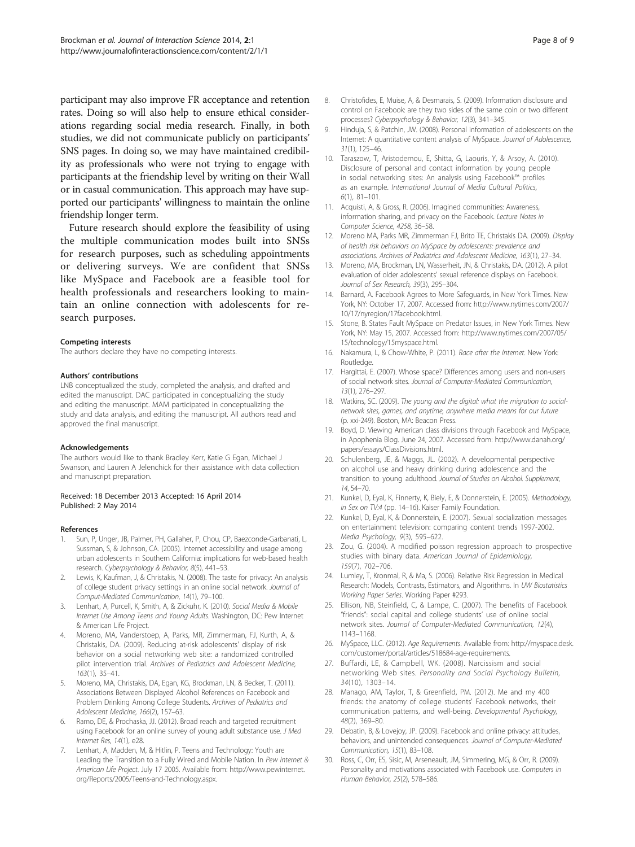<span id="page-7-0"></span>participant may also improve FR acceptance and retention rates. Doing so will also help to ensure ethical considerations regarding social media research. Finally, in both studies, we did not communicate publicly on participants' SNS pages. In doing so, we may have maintained credibility as professionals who were not trying to engage with participants at the friendship level by writing on their Wall or in casual communication. This approach may have supported our participants' willingness to maintain the online friendship longer term.

Future research should explore the feasibility of using the multiple communication modes built into SNSs for research purposes, such as scheduling appointments or delivering surveys. We are confident that SNSs like MySpace and Facebook are a feasible tool for health professionals and researchers looking to maintain an online connection with adolescents for research purposes.

#### Competing interests

The authors declare they have no competing interests.

#### Authors' contributions

LNB conceptualized the study, completed the analysis, and drafted and edited the manuscript. DAC participated in conceptualizing the study and editing the manuscript. MAM participated in conceptualizing the study and data analysis, and editing the manuscript. All authors read and approved the final manuscript.

#### Acknowledgements

The authors would like to thank Bradley Kerr, Katie G Egan, Michael J Swanson, and Lauren A Jelenchick for their assistance with data collection and manuscript preparation.

#### Received: 18 December 2013 Accepted: 16 April 2014 Published: 2 May 2014

#### References

- Sun, P, Unger, JB, Palmer, PH, Gallaher, P, Chou, CP, Baezconde-Garbanati, L, Sussman, S, & Johnson, CA. (2005). Internet accessibility and usage among urban adolescents in Southern California: implications for web-based health research. Cyberpsychology & Behavior, 8(5), 441–53.
- 2. Lewis, K, Kaufman, J, & Christakis, N. (2008). The taste for privacy: An analysis of college student privacy settings in an online social network. Journal of Comput-Mediated Communication, 14(1), 79–100.
- 3. Lenhart, A, Purcell, K, Smith, A, & Zickuhr, K. (2010). Social Media & Mobile Internet Use Among Teens and Young Adults. Washington, DC: Pew Internet & American Life Project.
- 4. Moreno, MA, Vanderstoep, A, Parks, MR, Zimmerman, FJ, Kurth, A, & Christakis, DA. (2009). Reducing at-risk adolescents' display of risk behavior on a social networking web site: a randomized controlled pilot intervention trial. Archives of Pediatrics and Adolescent Medicine, 163(1), 35–41.
- 5. Moreno, MA, Christakis, DA, Egan, KG, Brockman, LN, & Becker, T. (2011). Associations Between Displayed Alcohol References on Facebook and Problem Drinking Among College Students. Archives of Pediatrics and Adolescent Medicine, 166(2), 157–63.
- 6. Ramo, DE, & Prochaska, JJ. (2012). Broad reach and targeted recruitment using Facebook for an online survey of young adult substance use. J Med Internet Res, 14(1), e28.
- Lenhart, A, Madden, M, & Hitlin, P. Teens and Technology: Youth are Leading the Transition to a Fully Wired and Mobile Nation. In Pew Internet & American Life Project. July 17 2005. Available from: [http://www.pewinternet.](http://www.pewinternet.org/Reports/2005/Teens-and-Technology.aspx) [org/Reports/2005/Teens-and-Technology.aspx.](http://www.pewinternet.org/Reports/2005/Teens-and-Technology.aspx)
- 8. Christofides, E, Muise, A, & Desmarais, S. (2009). Information disclosure and control on Facebook: are they two sides of the same coin or two different processes? Cyberpsychology & Behavior, 12(3), 341–345.
- Hinduja, S, & Patchin, JW. (2008). Personal information of adolescents on the Internet: A quantitative content analysis of MySpace. Journal of Adolescence, 31(1), 125–46.
- 10. Taraszow, T, Aristodemou, E, Shitta, G, Laouris, Y, & Arsoy, A. (2010). Disclosure of personal and contact information by young people in social networking sites: An analysis using Facebook™ profiles as an example. International Journal of Media Cultural Politics, 6(1), 81–101.
- 11. Acquisti, A, & Gross, R. (2006). Imagined communities: Awareness, information sharing, and privacy on the Facebook. Lecture Notes in Computer Science, 4258, 36–58.
- 12. Moreno MA, Parks MR, Zimmerman FJ, Brito TE, Christakis DA. (2009). Display of health risk behaviors on MySpace by adolescents: prevalence and associations. Archives of Pediatrics and Adolescent Medicine, 163(1), 27–34.
- 13. Moreno, MA, Brockman, LN, Wasserheit, JN, & Christakis, DA. (2012). A pilot evaluation of older adolescents' sexual reference displays on Facebook. Journal of Sex Research, 39(3), 295–304.
- 14. Barnard, A. Facebook Agrees to More Safeguards, in New York Times. New York, NY: October 17, 2007. Accessed from: [http://www.nytimes.com/2007/](http://www.nytimes.com/2007/10/17/nyregion/17facebook.html) [10/17/nyregion/17facebook.html](http://www.nytimes.com/2007/10/17/nyregion/17facebook.html).
- 15. Stone, B. States Fault MySpace on Predator Issues, in New York Times. New York, NY: May 15, 2007. Accessed from: [http://www.nytimes.com/2007/05/](http://www.nytimes.com/2007/05/15/technology/15myspace.html) [15/technology/15myspace.html.](http://www.nytimes.com/2007/05/15/technology/15myspace.html)
- 16. Nakamura, L, & Chow-White, P. (2011). Race after the Internet. New York: Routledge.
- 17. Hargittai, E. (2007). Whose space? Differences among users and non-users of social network sites. Journal of Computer-Mediated Communication, 13(1), 276–297.
- 18. Watkins, SC. (2009). The young and the digital: what the migration to socialnetwork sites, games, and anytime, anywhere media means for our future (p. xxi-249). Boston, MA: Beacon Press.
- 19. Boyd, D. Viewing American class divisions through Facebook and MySpace, in Apophenia Blog. June 24, 2007. Accessed from: [http://www.danah.org/](http://www.danah.org/papers/essays/ClassDivisions.html) [papers/essays/ClassDivisions.html](http://www.danah.org/papers/essays/ClassDivisions.html).
- 20. Schulenberg, JE, & Maggs, JL. (2002). A developmental perspective on alcohol use and heavy drinking during adolescence and the transition to young adulthood. Journal of Studies on Alcohol. Supplement, 14, 54–70.
- 21. Kunkel, D, Eyal, K, Finnerty, K, Biely, E, & Donnerstein, E. (2005). Methodology, in Sex on TV:4 (pp. 14–16). Kaiser Family Foundation.
- 22. Kunkel, D, Eyal, K, & Donnerstein, E. (2007). Sexual socialization messages on entertainment television: comparing content trends 1997-2002. Media Psychology, 9(3), 595–622.
- 23. Zou, G. (2004). A modified poisson regression approach to prospective studies with binary data. American Journal of Epidemiology, 159(7), 702–706.
- 24. Lumley, T, Kronmal, R, & Ma, S. (2006). Relative Risk Regression in Medical Research: Models, Contrasts, Estimators, and Algorithms. In UW Biostatistics Working Paper Series. Working Paper #293.
- 25. Ellison, NB, Steinfield, C, & Lampe, C. (2007). The benefits of Facebook "friends": social capital and college students' use of online social network sites. Journal of Computer-Mediated Communication, 12(4), 1143–1168.
- 26. MySpace, LLC. (2012). Age Requirements. Available from: [http://myspace.desk.](http://myspace.desk.com/customer/portal/articles/518684-age-requirements) [com/customer/portal/articles/518684-age-requirements.](http://myspace.desk.com/customer/portal/articles/518684-age-requirements)
- 27. Buffardi, LE, & Campbell, WK. (2008). Narcissism and social networking Web sites. Personality and Social Psychology Bulletin, 34(10), 1303–14.
- 28. Manago, AM, Taylor, T, & Greenfield, PM. (2012). Me and my 400 friends: the anatomy of college students' Facebook networks, their communication patterns, and well-being. Developmental Psychology, 48(2), 369–80.
- 29. Debatin, B, & Lovejoy, JP. (2009). Facebook and online privacy: attitudes, behaviors, and unintended consequences. Journal of Computer-Mediated Communication, 15(1), 83–108.
- 30. Ross, C, Orr, ES, Sisic, M, Arseneault, JM, Simmering, MG, & Orr, R. (2009). Personality and motivations associated with Facebook use. Computers in Human Behavior, 25(2), 578–586.